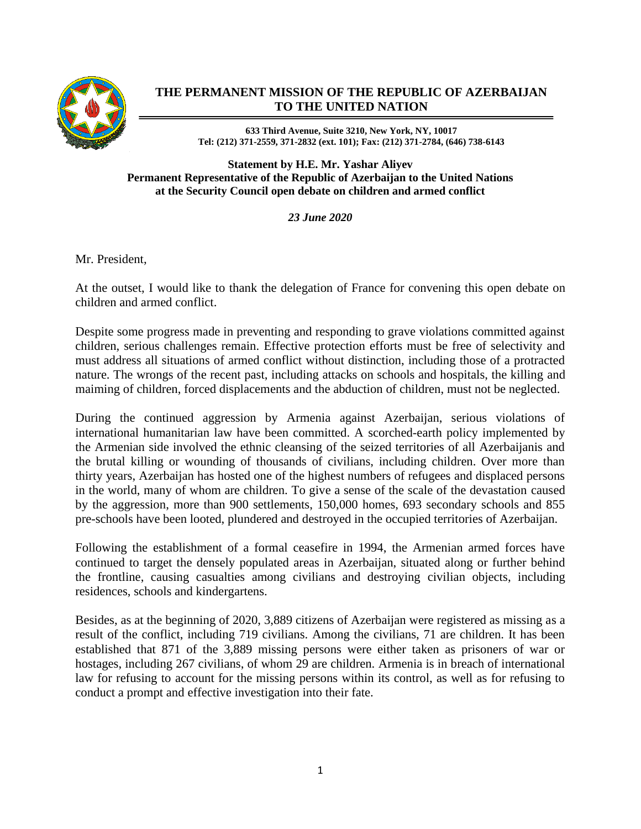

## **THE PERMANENT MISSION OF THE REPUBLIC OF AZERBAIJAN TO THE UNITED NATION**

**633 Third Avenue, Suite 3210, New York, NY, 10017 Tel: (212) 371-2559, 371-2832 (ext. 101); Fax: (212) 371-2784, (646) 738-6143**

**Statement by H.E. Mr. Yashar Aliyev Permanent Representative of the Republic of Azerbaijan to the United Nations at the Security Council open debate on children and armed conflict** 

*23 June 2020*

Mr. President,

At the outset, I would like to thank the delegation of France for convening this open debate on children and armed conflict.

Despite some progress made in preventing and responding to grave violations committed against children, serious challenges remain. Effective protection efforts must be free of selectivity and must address all situations of armed conflict without distinction, including those of a protracted nature. The wrongs of the recent past, including attacks on schools and hospitals, the killing and maiming of children, forced displacements and the abduction of children, must not be neglected.

During the continued aggression by Armenia against Azerbaijan, serious violations of international humanitarian law have been committed. A scorched-earth policy implemented by the Armenian side involved the ethnic cleansing of the seized territories of all Azerbaijanis and the brutal killing or wounding of thousands of civilians, including children. Over more than thirty years, Azerbaijan has hosted one of the highest numbers of refugees and displaced persons in the world, many of whom are children. To give a sense of the scale of the devastation caused by the aggression, more than 900 settlements, 150,000 homes, 693 secondary schools and 855 pre-schools have been looted, plundered and destroyed in the occupied territories of Azerbaijan.

Following the establishment of a formal ceasefire in 1994, the Armenian armed forces have continued to target the densely populated areas in Azerbaijan, situated along or further behind the frontline, causing casualties among civilians and destroying civilian objects, including residences, schools and kindergartens.

Besides, as at the beginning of 2020, 3,889 citizens of Azerbaijan were registered as missing as a result of the conflict, including 719 civilians. Among the civilians, 71 are children. It has been established that 871 of the 3,889 missing persons were either taken as prisoners of war or hostages, including 267 civilians, of whom 29 are children. Armenia is in breach of international law for refusing to account for the missing persons within its control, as well as for refusing to conduct a prompt and effective investigation into their fate.